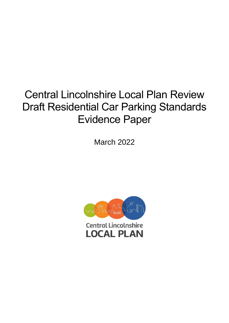# Central Lincolnshire Local Plan Review Draft Residential Car Parking Standards Evidence Paper

March 2022

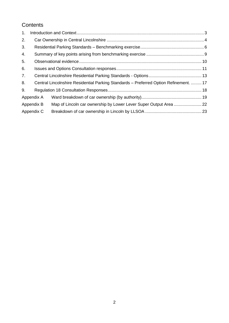# **Contents**

| 1. |            |                                                                                       |  |
|----|------------|---------------------------------------------------------------------------------------|--|
| 2. |            |                                                                                       |  |
| 3. |            |                                                                                       |  |
| 4. |            |                                                                                       |  |
| 5. |            |                                                                                       |  |
| 6. |            |                                                                                       |  |
| 7. |            |                                                                                       |  |
| 8. |            | Central Lincolnshire Residential Parking Standards - Preferred Option Refinement.  17 |  |
| 9. |            |                                                                                       |  |
|    | Appendix A |                                                                                       |  |
|    | Appendix B |                                                                                       |  |
|    | Appendix C |                                                                                       |  |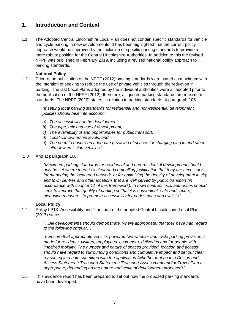## <span id="page-2-0"></span>**1. Introduction and Context**

1.1 The Adopted Central Lincolnshire Local Plan does not contain specific standards for vehicle and cycle parking in new developments. It has been highlighted that the current policy approach would be improved by the inclusion of specific parking standards to provide a more robust position for the Central Lincolnshire Authorities. In addition to this the revised NPPF was published in February 2019, including a revised national policy approach to parking standards.

#### **National Policy**

1.2 Prior to the publication of the NPPF (2012) parking standards were stated as maximum with the intention of seeking to reduce the use of private vehicles through the reduction in parking. The last Local Plans adopted by the individual authorities were all adopted prior to the publication of the NPPF (2012), therefore, all quoted parking standards are maximum standards. The NPPF (2019) states, in relation to parking standards at paragraph 105:

> "*If setting local parking standards for residential and non-residential development, policies should take into account:*

- *a) The accessibility of the development;*
- *b) The type, mix and use of development;*
- *c) The availability of and opportunities for public transport;*
- *d) Local car ownership levels; and*
- e) *The need to ensure an adequate provision of spaces for charging plug in and other ultra-low emission vehicles*."
- 1.3 And at paragraph 106:

"*Maximum parking standards for residential and non-residential development should only be set where there is a clear and compelling justification that they are necessary for managing the local road network, or for optimising the density of development in city and town centres and other locations that are well served by public transport (in accordance with chapter 11 of this framework). In town centres, local authorities should seek to improve that quality of parking so that it is convenient, safe and secure, alongside measures to promote accessibility for pedestrians and cyclists*."

#### **Local Policy**

1.4 Policy LP13: Accessibility and Transport of the adopted Central Lincolnshire Local Plan (2017) states:

> *"…All developments should demonstrate, where appropriate, that they have had regard to the following criteria:…*

> *q. Ensure that appropriate vehicle, powered two wheeler and cycle parking provision is made for residents, visitors, employees, customers, deliveries and for people with impaired mobility. The number and nature of spaces provided, location and access should have regard to surrounding conditions and cumulative impact and set out clear reasoning in a note submitted with the application (whether that be in a Design and Access Statement/ Transport Statement/ Transport Assessment and/or Travel Plan as appropriate, depending on the nature and scale of development proposed)*."

1.5 This evidence report has been prepared to set out how the proposed parking standards have been developed.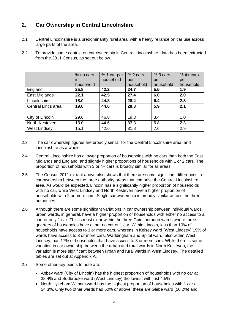## <span id="page-3-0"></span>**2. Car Ownership in Central Lincolnshire**

- 2.1 Central Lincolnshire is a predominantly rural area, with a heavy reliance on car use across large parts of the area.
- 2.2 To provide some context on car ownership in Central Lincolnshire, data has been extracted from the 2011 Census, as set out below.

|                      | % no cars<br>in<br>household | % 1 car per<br>household | % 2 cars<br>per<br>household | %3 cars<br>per<br>household | $%4+cars$<br>per<br>household |
|----------------------|------------------------------|--------------------------|------------------------------|-----------------------------|-------------------------------|
| England              | 25.8                         | 42.2                     | 24.7                         | 5.5                         | 1.9                           |
| <b>East Midlands</b> | 22.1                         | 42.5                     | 27.4                         | 6.0                         | 2.0                           |
| Lincolnshire         | 18.0                         | 44.8                     | 28.4                         | 6.4                         | 2.3                           |
| Central Lincs area   | 19.0                         | 44.6                     | 28.3                         | 5.9                         | 2.1                           |
|                      |                              |                          |                              |                             |                               |
| City of Lincoln      | 29.6                         | 46.8                     | 19.3                         | 3.4                         | 1.0                           |
| North Kesteven       | 13.0                         | 44.6                     | 33.3                         | 6.8                         | 2.3                           |
| <b>West Lindsey</b>  | 15.1                         | 42.6                     | 31.8                         | 7.6                         | 2.9                           |

- 2.3 The car ownership figures are broadly similar for the Central Lincolnshire area, and Lincolnshire as a whole.
- 2.4 Central Lincolnshire has a lower proportion of households with no cars than both the East Midlands and England, and slightly higher proportions of households with 1 or 2 cars. The proportion of households with 3 or 4+ cars is broadly similar for all areas.
- 2.5 The Census 2011 extract above also shows that there are some significant differences in car ownership between the three authority areas that comprise the Central Lincolnshire area. As would be expected, Lincoln has a significantly higher proportion of households with no car, while West Lindsey and North Kesteven have a higher proportion of households with 2 or more cars. Single car ownership is broadly similar across the three authorities.
- 2.6 Although there are some significant variations in car ownership between individual wards, urban wards, in general, have a higher proportion of households with either no access to a car, or only 1 car. This is most clear within the three Gainsborough wards where three quarters of households have either no car or 1 car. Within Lincoln, less than 10% of households have access to 3 or more cars, whereas in Kelsey ward (West Lindsey) 19% of wards have access to 3 or more cars. Waddingham and Spital ward, also within West Lindsey, has 17% of households that have access to 3 or more cars. While there is some variation in car ownership between the urban and rural wards in North Kesteven, the variation is more significant between urban and rural wards in West Lindsey. The detailed tables are set out at Appendix A.
- 2.7 Some other key points to note are:
	- Abbey ward (City of Lincoln) has the highest proportion of households with no car at 38.4% and Sudbrooke ward (West Lindsey) the lowest with just 4.5%
	- North Hykeham Witham ward has the highest proportion of households with 1 car at 54.3%. Only two other wards had 50% or above, these are Glebe ward (50.2%) and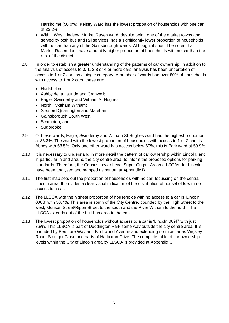Harsholme (50.0%). Kelsey Ward has the lowest proportion of households with one car at 33.2%.

- Within West Lindsey, Market Rasen ward, despite being one of the market towns and served by both bus and rail services, has a significantly lower proportion of households with no car than any of the Gainsborough wards. Although, it should be noted that Market Rasen does have a notably higher proportion of households with no car than the rest of the district.
- 2.8 In order to establish a greater understanding of the patterns of car ownership, in addition to the analysis of access to 0, 1, 2,3 or 4 or more cars, analysis has been undertaken of access to 1 or 2 cars as a single category. A number of wards had over 80% of households with access to 1 or 2 cars, these are:
	- Hartsholme;
	- Ashby de la Launde and Cranwell;
	- Eagle, Swinderby and Witham St Hughes;
	- North Hykeham Witham;
	- Sleaford Quarrington and Mareham;
	- Gainsborough South West;
	- Scampton; and
	- Sudbrooke.
- 2.9 Of these wards, Eagle, Swinderby and Witham St Hughes ward had the highest proportion at 83.3%. The ward with the lowest proportion of households with access to 1 or 2 cars is Abbey with 58.5%. Only one other ward has access below 60%, this is Park ward at 59.9%.
- 2.10 It is necessary to understand in more detail the pattern of car ownership within Lincoln, and in particular in and around the city centre area, to inform the proposed options for parking standards. Therefore, the Census Lower Level Super Output Areas (LLSOAs) for Lincoln have been analysed and mapped as set out at Appendix B.
- 2.11 The first map sets out the proportion of households with no car, focussing on the central Lincoln area. It provides a clear visual indication of the distribution of households with no access to a car.
- 2.12 The LLSOA with the highest proportion of households with no access to a car is 'Lincoln 006B' with 58.7%. This area is south of the City Centre, bounded by the High Street to the west, Monson Street/Ripon Street to the south and the River Witham to the north. The LLSOA extends out of the build-up area to the east.
- 2.13 The lowest proportion of households without access to a car is 'Lincoln 009F' with just 7.8%. This LLSOA is part of Doddington Park some way outside the city centre area. It is bounded by Pershore Way and Birchwood Avenue and extending north as far as Wigsley Road, Stenigot Close and parts of Harlaxton Drive. The complete table of car ownership levels within the City of Lincoln area by LLSOA is provided at Appendix C.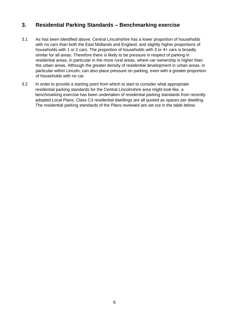## <span id="page-5-0"></span>**3. Residential Parking Standards – Benchmarking exercise**

- 3.1 As has been identified above, Central Lincolnshire has a lower proportion of households with no cars than both the East Midlands and England, and slightly higher proportions of households with 1 or 2 cars. The proportion of households with 3 or 4+ cars is broadly similar for all areas. Therefore there is likely to be pressure in respect of parking in residential areas, in particular in the more rural areas, where car ownership is higher than the urban areas. Although the greater density of residential development in urban areas, in particular within Lincoln, can also place pressure on parking, even with a greater proportion of households with no car.
- 3.2 In order to provide a starting point from which to start to consider what appropriate residential parking standards for the Central Lincolnshire area might look like, a benchmarking exercise has been undertaken of residential parking standards from recently adopted Local Plans. Class C3 residential dwellings are all quoted as spaces per dwelling. The residential parking standards of the Plans reviewed are set out in the table below.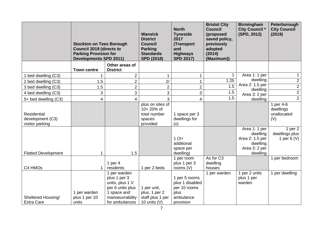|                                                    | <b>Stockton on Tees Borough</b><br><b>Council 2019 (directs to</b><br><b>Parking Provision for</b><br><b>Developments SPD 2011)</b> |                                                                                                                         | <b>Warwick</b><br><b>District</b><br><b>Council</b><br><b>Parking</b><br><b>Standards</b><br><b>SPD (2018)</b> | <b>North</b><br><b>Tyneside</b><br>2017<br>(Transport<br>and<br><b>Highways</b><br><b>SPD 2017)</b> | <b>Bristol City</b><br><b>Council</b><br>(proposed<br>saved policy,<br>previously<br>adopted<br>(2014)<br>(Maximum)) | <b>Birmingham</b><br><b>City Council *</b><br>(SPD, 2012)                             | Peterborough<br><b>City Council</b><br>(2019) |
|----------------------------------------------------|-------------------------------------------------------------------------------------------------------------------------------------|-------------------------------------------------------------------------------------------------------------------------|----------------------------------------------------------------------------------------------------------------|-----------------------------------------------------------------------------------------------------|----------------------------------------------------------------------------------------------------------------------|---------------------------------------------------------------------------------------|-----------------------------------------------|
|                                                    | <b>Town centre</b>                                                                                                                  | Other areas of<br><b>District</b>                                                                                       |                                                                                                                |                                                                                                     |                                                                                                                      |                                                                                       |                                               |
| bed dwelling (C3)                                  |                                                                                                                                     | $\overline{2}$                                                                                                          |                                                                                                                |                                                                                                     | $\mathbf{1}$                                                                                                         | Area 1: 1 per                                                                         | 1                                             |
| 2 bed dwelling (C3)                                | 1.5                                                                                                                                 | $\overline{2}$                                                                                                          | 2/                                                                                                             | 1                                                                                                   | 1.25                                                                                                                 | dwelling                                                                              | $\overline{c}$                                |
| 3 bed dwelling (C3)                                | 1.5                                                                                                                                 | $\overline{2}$                                                                                                          | $\overline{2}$                                                                                                 | $\overline{2}$                                                                                      | 1.5                                                                                                                  | Area 2: 1.5 per<br>dwelling                                                           | $\overline{2}$                                |
| 4 bed dwelling (C3)                                | 3                                                                                                                                   | 3                                                                                                                       | $\overline{3}$                                                                                                 | 3                                                                                                   | 1.5                                                                                                                  | Area 3: 2 per                                                                         | $\overline{2}$                                |
| 5+ bed dwelling (C3)                               | $\overline{4}$                                                                                                                      | 4                                                                                                                       | 3                                                                                                              | 4                                                                                                   | 1.5                                                                                                                  | dwelling                                                                              | $\overline{2}$                                |
| Residential<br>development (C3)<br>visitor parking |                                                                                                                                     |                                                                                                                         | plus on sites of<br>10+20% of<br>total number<br>spaces<br>provided                                            | 1 space per 3<br>dwellings for<br>(v)                                                               |                                                                                                                      |                                                                                       | 1 per 4-6<br>dwellings<br>unallocated<br>(V)  |
| <b>Flatted Development</b>                         |                                                                                                                                     | 1.5                                                                                                                     |                                                                                                                | $1(3+$<br>additional<br>space per<br>dwelling)                                                      |                                                                                                                      | Area 1: 1 per<br>dwelling<br>Area 2: 1.5 per<br>dwelling<br>Area 3: 2 per<br>dwelling | 1 per $2$<br>dwellings plus<br>1 per $6(V)$   |
| C4 HMOs                                            |                                                                                                                                     | 1 per $4$<br>residents                                                                                                  | 1 per 2 beds                                                                                                   | 1 per room<br>plus 1 per 3<br>rooms $(V)$                                                           | As for C3<br>dwelling<br>houses                                                                                      |                                                                                       | 1 per bedroom                                 |
| Sheltered Housing/<br><b>Extra Care</b>            | 1 per warden<br>plus 1 per 10<br>units                                                                                              | 1 per warden<br>plus 1 per 3<br>units, plus 1 V<br>per 6 units plus<br>1 space and<br>manoeuvrability<br>for ambulances | 1 per unit,<br>plus, 1 per 2<br>staff plus 1 per<br>10 units $(V)$                                             | 1 per 5 rooms<br>plus 1 disabled<br>per 10 rooms<br>plus<br>ambulance<br>provision                  | 1 per warden                                                                                                         | 1 per 2 units<br>plus 1 per<br>warden                                                 | 1 per dwelling                                |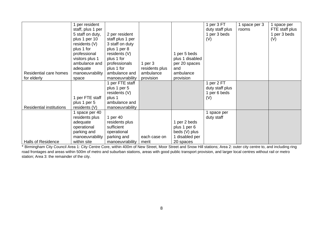| space per      |
|----------------|
| FTE staff plus |
|                |
| 1 per 3 beds   |
| (V)            |
|                |
|                |
|                |
|                |
|                |
|                |
|                |
|                |
|                |
|                |
|                |
|                |
|                |
|                |
|                |
|                |
|                |
|                |
|                |
|                |
|                |
|                |
|                |

\* Birmingham City Council Area 1: City Centre Core, within 400m of New Street, Moor Street and Snow Hill stations; Area 2: outer city centre to, and including ring road frontages and areas within 500m of metro and suburban stations, areas with good public transport provision, and larger local centres without rail or metro station; Area 3: the remainder of the city.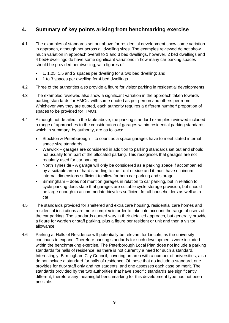## <span id="page-8-0"></span>**4. Summary of key points arising from benchmarking exercise**

- 4.1 The examples of standards set out above for residential development show some variation in approach, although not across all dwelling sizes. The examples reviewed do not show much variation in approach overall to 1 and 3 bed dwellings, however, 2 bed dwellings and 4 bed+ dwellings do have some significant variations in how many car parking spaces should be provided per dwelling, with figures of:
	- 1, 1.25, 1.5 and 2 spaces per dwelling for a two bed dwelling; and
	- 1 to 3 spaces per dwelling for 4 bed dwellings.
- 4.2 Three of the authorities also provide a figure for visitor parking in residential developments.
- 4.3 The examples reviewed also show a significant variation in the approach taken towards parking standards for HMOs, with some quoted as per person and others per room. Whichever way they are quoted, each authority requires a different number/ proportion of spaces to be provided for HMOs.
- 4.4 Although not detailed in the table above, the parking standard examples reviewed included a range of approaches to the consideration of garages within residential parking standards, which in summary, by authority, are as follows:
	- Stockton & Peterborough to count as a space garages have to meet stated internal space size standards;
	- Warwick garages are considered in addition to parking standards set out and should not usually form part of the allocated parking. This recognises that garages are not regularly used for car parking;
	- North Tyneside A garage will only be considered as a parking space if accompanied by a suitable area of hard standing to the front or side and it must have minimum internal dimensions sufficient to allow for both car parking and storage;
	- Birmingham does not mention garages in relation to car parking, but in relation to cycle parking does state that garages are suitable cycle storage provision, but should be large enough to accommodate bicycles sufficient for all householders as well as a car.
- 4.5 The standards provided for sheltered and extra care housing, residential care homes and residential institutions are more complex in order to take into account the range of users of the car parking. The standards quoted vary in their detailed approach, but generally provide a figure for warden or staff parking, plus a figure per resident or unit and then a visitor allowance.
- 4.6 Parking at Halls of Residence will potentially be relevant for Lincoln, as the university continues to expand. Therefore parking standards for such developments were included within the benchmarking exercise. The Peterborough Local Plan does not include a parking standards for halls of residence, as there is not currently a need for such a standard. Interestingly, Birmingham City Council, covering an area with a number of universities, also do not include a standard for halls of residence. Of those that do include a standard, one provides for duty staff only and not students, and one assesses each case on merit. The standards provided by the two authorities that have specific standards are significantly different, therefore any meaningful benchmarking for this development type has not been possible.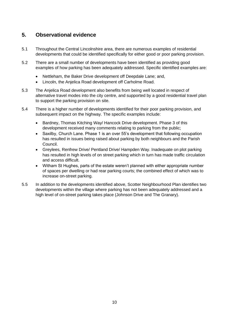## <span id="page-9-0"></span>**5. Observational evidence**

- 5.1 Throughout the Central Lincolnshire area, there are numerous examples of residential developments that could be identified specifically for either good or poor parking provision.
- 5.2 There are a small number of developments have been identified as providing good examples of how parking has been adequately addressed. Specific identified examples are:
	- Nettleham, the Baker Drive development off Deepdale Lane; and,
	- Lincoln, the Anjelica Road development off Carholme Road.
- 5.3 The Anjelica Road development also benefits from being well located in respect of alternative travel modes into the city centre, and supported by a good residential travel plan to support the parking provision on site.
- 5.4 There is a higher number of developments identified for their poor parking provision, and subsequent impact on the highway. The specific examples include:
	- Bardney, Thomas Kitching Way/ Hancock Drive development. Phase 3 of this development received many comments relating to parking from the public;
	- Saxilby, Church Lane. Phase 1 is an over 55's development that following occupation has resulted in issues being raised about parking by both neighbours and the Parish Council.
	- Greylees, Renfrew Drive/ Pentland Drive/ Hampden Way. Inadequate on plot parking has resulted in high levels of on street parking which in turn has made traffic circulation and access difficult.
	- Witham St Hughes, parts of the estate weren't planned with either appropriate number of spaces per dwelling or had rear parking courts; the combined effect of which was to increase on-street parking.
- 5.5 In addition to the developments identified above, Scotter Neighbourhood Plan identifies two developments within the village where parking has not been adequately addressed and a high level of on-street parking takes place (Johnson Drive and The Granary).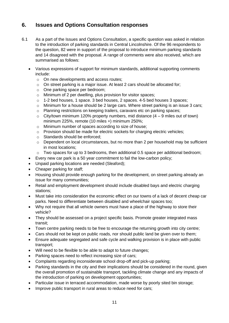## <span id="page-10-0"></span>**6. Issues and Options Consultation responses**

- 6.1 As a part of the Issues and Options Consultation, a specific question was asked in relation to the introduction of parking standards in Central Lincolnshire. Of the 96 respondents to the question, 82 were in support of the proposal to introduce minimum parking standards and 14 disagreed with the proposal. A range of comments were also received, which are summarised as follows:
	- Various expressions of support for minimum standards, additional supporting comments include:
		- o On new developments and access routes;
		- o On street parking is a major issue. At least 2 cars should be allocated for;
		- o One parking space per bedroom;
		- o Minimum of 2 per dwelling, plus provision for visitor spaces;
		- $\circ$  1-2 bed houses, 1 space. 3 bed houses, 2 spaces. 4-5 bed houses 3 spaces;
		- $\circ$  Minimum for a house should be 2 large cars. Where street parking is an issue 3 cars;
		- o Planning restrictions on keeping trailers, caravans etc on parking spaces;
		- $\circ$  City/town minimum 120% property numbers, mid distance (4 9 miles out of town) minimum 225%, remote (10 miles +) minimum 250%;
		- o Minimum number of spaces according to size of house;
		- o Provision should be made for electric sockets for charging electric vehicles;
		- o Standards should be enforced;
		- $\circ$  Dependent on local circumstances, but no more than 2 per household may be sufficient in most locations;
		- o Two spaces for up to 3 bedrooms, then additional 0.5 space per additional bedroom;
	- Every new car park is a 50 year commitment to fail the low-carbon policy;
	- Unpaid parking locations are needed (Sleaford);
	- Cheaper parking for staff;
	- Housing should provide enough parking for the development, on street parking already an issue for many communities;
	- Retail and employment development should include disabled bays and electric charging stations;
	- Must take into consideration the economic effect on our towns of a lack of decent cheap car parks. Need to differentiate between disabled and wheelchair spaces too;
	- Why not require that all vehicle owners must have a place of the highway to store their vehicle?
	- They should be assessed on a project specific basis. Promote greater integrated mass transit;
	- Town centre parking needs to be free to encourage the returning growth into city centre;
	- Cars should not be kept on public roads, nor should public land be given over to them;
	- Ensure adequate segregated and safe cycle and walking provision is in place with public transport;
	- Will need to be flexible to be able to adapt to future changes;
	- Parking spaces need to reflect increasing size of cars;
	- Complaints regarding inconsiderate school drop-off and pick-up parking;
	- Parking standards in the city and their implications should be considered in the round, given the overall promotion of sustainable transport, tackling climate change and any impacts of the introduction of parking on development opportunities;
	- Particular issue in terraced accommodation, made worse by poorly sited bin storage;
	- Improve public transport in rural areas to reduce need for cars;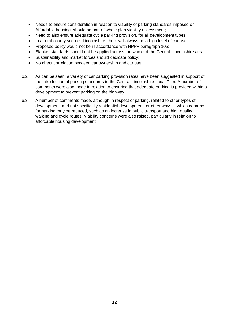- Needs to ensure consideration in relation to viability of parking standards imposed on Affordable housing, should be part of whole plan viability assessment;
- Need to also ensure adequate cycle parking provision, for all development types;
- In a rural county such as Lincolnshire, there will always be a high level of car use;
- Proposed policy would not be in accordance with NPPF paragraph 105;
- Blanket standards should not be applied across the whole of the Central Lincolnshire area;
- Sustainability and market forces should dedicate policy;
- No direct correlation between car ownership and car use.
- 6.2 As can be seen, a variety of car parking provision rates have been suggested in support of the introduction of parking standards to the Central Lincolnshire Local Plan. A number of comments were also made in relation to ensuring that adequate parking is provided within a development to prevent parking on the highway.
- 6.3 A number of comments made, although in respect of parking, related to other types of development, and not specifically residential development, or other ways in which demand for parking may be reduced, such as an increase in public transport and high quality walking and cycle routes. Viability concerns were also raised, particularly in relation to affordable housing development.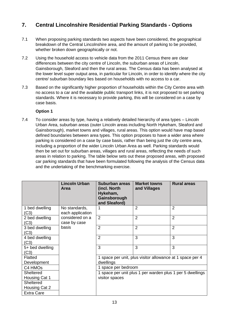## <span id="page-12-0"></span>**7. Central Lincolnshire Residential Parking Standards - Options**

- 7.1 When proposing parking standards two aspects have been considered, the geographical breakdown of the Central Lincolnshire area, and the amount of parking to be provided, whether broken down geographically or not.
- 7.2 Using the household access to vehicle data from the 2011 Census there are clear differences between the city centre of Lincoln, the suburban areas of Lincoln, Gainsborough, Sleaford and then the rural areas. The Census data has been analysed at the lower level super output area, in particular for Lincoln, in order to identify where the city centre/ suburban boundary lies based on households with no access to a car.
- 7.3 Based on the significantly higher proportion of households within the City Centre area with no access to a car and the available public transport links, it is not proposed to set parking standards. Where it is necessary to provide parking, this will be considered on a case by case basis.

#### **Option 1**

7.4 To consider areas by type, having a relatively detailed hierarchy of area types – Lincoln Urban Area, suburban areas (outer Lincoln areas including North Hykeham, Sleaford and Gainsborough), market towns and villages, rural areas. This option would have map based defined boundaries between area types. This option proposes to have a wider area where parking is considered on a case by case basis, rather than being just the city centre area, including a proportion of the wider Lincoln Urban Area as well. Parking standards would then be set out for suburban areas, villages and rural areas, reflecting the needs of such areas in relation to parking. The table below sets out these proposed areas, with proposed car parking standards that have been formulated following the analysis of the Census data and the undertaking of the benchmarking exercise.

|                         | <b>Lincoln Urban</b><br>Area      | <b>Suburban areas</b><br>(incl. North<br>Hykeham,<br>Gainsborough<br>and Sleaford) | <b>Market towns</b><br>and Villages                       | <b>Rural areas</b> |
|-------------------------|-----------------------------------|------------------------------------------------------------------------------------|-----------------------------------------------------------|--------------------|
| 1 bed dwelling<br>(C3)  | No standards,<br>each application | 1                                                                                  | $\overline{2}$                                            | $\overline{2}$     |
| 2 bed dwelling<br>(C3)  | considered on a<br>case by case   | $\overline{2}$                                                                     | $\overline{2}$                                            | $\overline{2}$     |
| 3 bed dwelling<br>(C3)  | basis                             | $\overline{2}$                                                                     | $\overline{2}$                                            | $\overline{2}$     |
| 4 bed dwelling<br>(C3)  |                                   | $\overline{2}$                                                                     | 3                                                         | 3                  |
| 5+ bed dwelling<br>(C3) |                                   | 3                                                                                  | 3                                                         | 3                  |
| Flatted<br>Development  |                                   | dwellings                                                                          | 1 space per unit, plus visitor allowance at 1 space per 4 |                    |
| C4 HMOs                 |                                   | 1 space per bedroom                                                                |                                                           |                    |
| Sheltered               |                                   |                                                                                    | 1 space per unit plus 1 per warden plus 1 per 5 dwellings |                    |
| Housing Cat 1           |                                   | visitor spaces                                                                     |                                                           |                    |
| Sheltered               |                                   |                                                                                    |                                                           |                    |
| Housing Cat 2           |                                   |                                                                                    |                                                           |                    |
| <b>Extra Care</b>       |                                   |                                                                                    |                                                           |                    |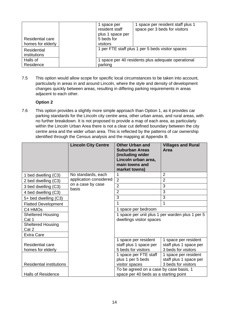| Residential care<br>homes for elderly | 1 space per<br>resident staff<br>plus 1 space per<br>5 beds for<br>visitors | 1 space per resident staff plus 1<br>space per 3 beds for visitors |  |  |
|---------------------------------------|-----------------------------------------------------------------------------|--------------------------------------------------------------------|--|--|
| Residential<br>institutions           |                                                                             | 1 per FTE staff plus 1 per 5 beds visitor spaces                   |  |  |
| Halls of<br>Residence                 | 1 space per 40 residents plus adequate operational<br>parking               |                                                                    |  |  |

7.5 This option would allow scope for specific local circumstances to be taken into account, particularly in areas in and around Lincoln, where the style and density of development changes quickly between areas, resulting in differing parking requirements in areas adjacent to each other.

#### **Option 2**

7.6 This option provides a slightly more simple approach than Option 1, as it provides car parking standards for the Lincoln city centre area, other urban areas, and rural areas, with no further breakdown. It is not proposed to provide a map of each area, as particularly within the Lincoln Urban Area there is not a clear cut defined boundary between the city centre area and the wider urban area. This is reflected by the patterns of car ownership identified through the Census analysis and the mapping at Appendix B.

|                                   | <b>Lincoln City Centre</b> | <b>Other Urban and</b><br><b>Suburban Areas</b><br>(including wider<br>Lincoln urban area,<br>main towns and<br>market towns) | <b>Villages and Rural</b><br>Area             |  |  |
|-----------------------------------|----------------------------|-------------------------------------------------------------------------------------------------------------------------------|-----------------------------------------------|--|--|
| 1 bed dwelling (C3)               | No standards, each         | 1                                                                                                                             | $\overline{2}$                                |  |  |
| 2 bed dwelling (C3)               | application considered     | $\overline{2}$                                                                                                                | $\overline{2}$                                |  |  |
| 3 bed dwelling (C3)               | on a case by case<br>basis | $\overline{2}$                                                                                                                | 3                                             |  |  |
| 4 bed dwelling (C3)               |                            | $\overline{2}$                                                                                                                | 3                                             |  |  |
| 5+ bed dwelling (C3)              |                            | 3                                                                                                                             | 3                                             |  |  |
| <b>Flatted Development</b>        |                            |                                                                                                                               | 1                                             |  |  |
| C4 HMOs                           |                            | 1 space per bedroom                                                                                                           |                                               |  |  |
| <b>Sheltered Housing</b><br>Cat 1 |                            | 1 space per unit plus 1 per warden plus 1 per 5<br>dwellings visitor spaces                                                   |                                               |  |  |
| <b>Sheltered Housing</b><br>Cat 2 |                            |                                                                                                                               |                                               |  |  |
| <b>Extra Care</b>                 |                            |                                                                                                                               |                                               |  |  |
|                                   |                            | 1 space per resident                                                                                                          | 1 space per resident                          |  |  |
| <b>Residential care</b>           |                            | staff plus 1 space per                                                                                                        | staff plus 1 space per                        |  |  |
| homes for elderly                 |                            | 5 beds for visitors                                                                                                           | 3 beds for visitors                           |  |  |
|                                   |                            | 1 space per FTE staff                                                                                                         | 1 space per resident                          |  |  |
| <b>Residential institutions</b>   |                            | plus 1 per 5 beds<br>visitor spaces                                                                                           | staff plus 1 space per<br>3 beds for visitors |  |  |
|                                   |                            | To be agreed on a case by case basis, 1                                                                                       |                                               |  |  |
| <b>Halls of Residence</b>         |                            | space per 40 beds as a starting point                                                                                         |                                               |  |  |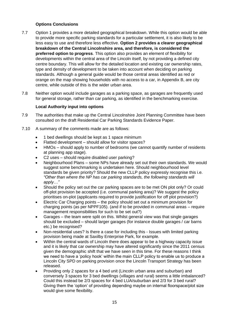#### **Options Conclusions**

- 7.7 Option 1 provides a more detailed geographical breakdown. While this option would be able to provide more specific parking standards for a particular settlement, it is also likely to be less easy to use and therefore less effective. **Option 2 provides a clearer geographical breakdown of the Central Lincolnshire area, and therefore, is considered the preferred option to progress**. This option also provides an element of flexibility for developments within the central area of the Lincoln itself, by not providing a defined city centre boundary. This will allow for the detailed location and existing car ownership rates, type and density of development to be taken into account when deciding on parking standards. Although a general guide would be those central areas identified as red or orange on the map showing households with no access to a car, in Appendix B, are city centre, while outside of this is the wider urban area.
- 7.8 Neither option would include garages as a parking space, as garages are frequently used for general storage, rather than car parking, as identified in the benchmarking exercise.

#### **Local Authority input into options**

- 7.9 The authorities that make up the Central Lincolnshire Joint Planning Committee have been consulted on the draft Residential Car Parking Standards Evidence Paper.
- 7.10 A summary of the comments made are as follows:
	- 1 bed dwellings should be kept as 1 space minimum
	- Flatted development should allow for visitor spaces?
	- HMOs should apply to number of bedrooms (we cannot quantify number of residents at planning app stage).
	- C2 uses should require disabled user parking?
	- Neighbourhood Plans some NPs have already set out their own standards. We would suggest some benchmarking is undertaken here. Should neighbourhood level standards be given priority? Should the new CLLP policy expressly recognise this i.e. *"Other than where the NP has car parking standards, the following standards will apply…"*
	- Should the policy set out the car parking spaces are to be met ON plot only? Or could off-plot provision be accepted (i.e. communal parking area)? We suggest the policy prioritises on-plot (applicants required to provide justification for off plot provision?)
	- Electric Car Charging points the policy should set out a minimum provision for charging points (as per NPPF105). (and if to be provided in communal areas – require management responsibilities for such to be set out?)
	- Garages the team were split on this. Whilst general view was that single garages should be excluded – should larger garages (for instance double garages / car barns etc.) be recognised?
	- Non-residential uses? Is there a case for including this Issues with limited parking provision being made at Saxilby Enterprise Park, for example.
	- Within the central wards of Lincoln there does appear to be a highway capacity issue and it is likely that car ownership may have altered significantly since the 2011 census given the demographic shift that we have seen in this time. For these reasons I think we need to have a 'policy hook' within the main CLLP policy to enable us to produce a Lincoln City SPD on parking provision once the Lincoln Transport Strategy has been released.
	- Providing only 2 spaces for a 4 bed unit (Lincoln urban area and suburban) and conversely 3 spaces for 3 bed dwellings (villages and rural) seems a little imbalanced? Could this instead be 2/3 spaces for 4 bed LUA/suburban and 2/3 for 3 bed rural? Giving them the 'option' of providing depending maybe on internal floorspace/plot size would give some flexibility.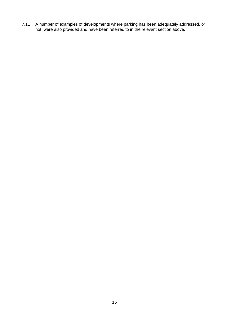7.11 A number of examples of developments where parking has been adequately addressed, or not, were also provided and have been referred to in the relevant section above.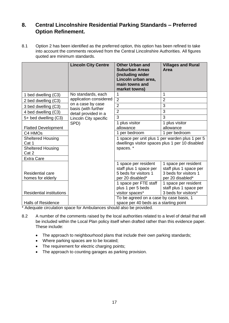## <span id="page-16-0"></span>**8. Central Lincolnshire Residential Parking Standards – Preferred Option Refinement.**

8.1 Option 2 has been identified as the preferred option, this option has been refined to take into account the comments received from the Central Lincolnshire Authorities. All figures quoted are minimum standards.

|                                               | <b>Lincoln City Centre</b>               | <b>Other Urban and</b><br><b>Suburban Areas</b><br>(including wider<br>Lincoln urban area,<br>main towns and<br>market towns) | <b>Villages and Rural</b><br>Area                                                           |  |
|-----------------------------------------------|------------------------------------------|-------------------------------------------------------------------------------------------------------------------------------|---------------------------------------------------------------------------------------------|--|
| 1 bed dwelling (C3)                           | No standards, each                       | 1                                                                                                                             | 1                                                                                           |  |
| 2 bed dwelling (C3)                           | application considered                   | $\overline{2}$                                                                                                                | $\overline{2}$                                                                              |  |
| 3 bed dwelling (C3)                           | on a case by case<br>basis (with further | $\overline{2}$                                                                                                                | 3                                                                                           |  |
| 4 bed dwelling (C3)                           | detail provided in a                     | $\overline{2}$                                                                                                                | 3                                                                                           |  |
| 5+ bed dwelling (C3)<br>Lincoln City specific |                                          | 3                                                                                                                             | 3                                                                                           |  |
|                                               | SPD)                                     | 1 plus visitor                                                                                                                | 1 plus visitor                                                                              |  |
| <b>Flatted Development</b>                    |                                          | allowance                                                                                                                     | allowance                                                                                   |  |
| C4 HMOs                                       |                                          | 1 per bedroom                                                                                                                 | 1 per bedroom                                                                               |  |
| <b>Sheltered Housing</b><br>Cat 1             |                                          | dwellings visitor spaces plus 1 per 10 disabled                                                                               | 1 space per unit plus 1 per warden plus 1 per 5                                             |  |
| Sheltered Housing<br>Cat 2                    |                                          | spaces.*                                                                                                                      |                                                                                             |  |
| <b>Extra Care</b>                             |                                          |                                                                                                                               |                                                                                             |  |
| <b>Residential care</b><br>homes for elderly  |                                          | 1 space per resident<br>staff plus 1 space per<br>5 beds for visitors 1<br>per 20 disabled*                                   | 1 space per resident<br>staff plus 1 space per<br>3 beds for visitors 1<br>per 20 disabled* |  |
| <b>Residential institutions</b>               |                                          | 1 space per FTE staff<br>plus 1 per 5 beds<br>visitor spaces*                                                                 | 1 space per resident<br>staff plus 1 space per<br>3 beds for visitors*                      |  |
| <b>Halls of Residence</b>                     |                                          | To be agreed on a case by case basis, 1<br>space per 40 beds as a starting point                                              |                                                                                             |  |

\* Adequate circulation space for Ambulances should also be provided.

- 8.2 A number of the comments raised by the local authorities related to a level of detail that will be included within the Local Plan policy itself when drafted rather than this evidence paper. These include:
	- The approach to neighbourhood plans that include their own parking standards;
	- Where parking spaces are to be located;
	- The requirement for electric charging points:
	- The approach to counting garages as parking provision.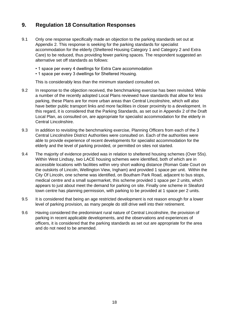## <span id="page-17-0"></span>**9. Regulation 18 Consultation Responses**

- 9.1 Only one response specifically made an objection to the parking standards set out at Appendix 2. This response is seeking for the parking standards for specialist accommodation for the elderly (Sheltered Housing Category 1 and Category 2 and Extra Care) to be reduced, thus providing fewer parking spaces. The respondent suggested an alternative set off standards as follows:
	- 1 space per every 4 dwellings for Extra Care accommodation
	- 1 space per every 3 dwellings for Sheltered Housing.

This is considerably less than the minimum standard consulted on.

- 9.2 In response to the objection received, the benchmarking exercise has been revisited. While a number of the recently adopted Local Plans reviewed have standards that allow for less parking, these Plans are for more urban areas than Central Lincolnshire, which will also have better public transport links and more facilities in closer proximity to a development. In this regard, it is considered that the Parking Standards, as set out in Appendix 2 of the Draft Local Plan, as consulted on, are appropriate for specialist accommodation for the elderly in Central Lincolnshire.
- 9.3 In addition to revisiting the benchmarking exercise, Planning Officers from each of the 3 Central Lincolnshire District Authorities were consulted on. Each of the authorities were able to provide experience of recent developments for specialist accommodation for the elderly and the level of parking provided, or permitted on sites not started.
- 9.4 The majority of evidence provided was in relation to sheltered housing schemes (Over 55s). Within West Lindsay, two LACE housing schemes were identified, both of which are in accessible locations with facilities within very short walking distance (Roman Gate Court on the outskirts of Lincoln, Wellington View, Ingham) and provided 1 space per unit. Within the City Of Lincoln, one scheme was identified, on Boutham Park Road, adjacent to bus stops, medical centre and a small supermarket, this scheme provided 1 space per 2 units, which appears to just about meet the demand for parking on site. Finally one scheme in Sleaford town centre has planning permission, with parking to be provided at 1 space per 2 units.
- 9.5 It is considered that being an age restricted development is not reason enough for a lower level of parking provision, as many people do still drive well into their retirement.
- 9.6 Having considered the predominant rural nature of Central Lincolnshire, the provision of parking in recent applicable developments, and the observations and experiences of officers, it is considered that the parking standards as set out are appropriate for the area and do not need to be amended.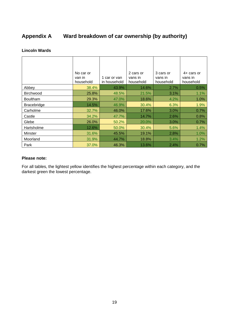## <span id="page-18-0"></span>**Appendix A Ward breakdown of car ownership (by authority)**

#### **Lincoln Wards**

|                  | No car or<br>van in<br>household | 1 car or van<br>in household | 2 cars or<br>vans in<br>household | 3 cars or<br>vans in<br>household | $4+$ cars or<br>vans in<br>household |
|------------------|----------------------------------|------------------------------|-----------------------------------|-----------------------------------|--------------------------------------|
| Abbey            | 38.4%                            | 43.9%                        | 14.6%                             | 2.7%                              | 0.5%                                 |
| <b>Birchwood</b> | 25.8%                            | 48.5%                        | 21.5%                             | 3.1%                              | 1.1%                                 |
| <b>Boultham</b>  | 29.3%                            | 47.0%                        | 18.6%                             | 4.2%                              | 1.0%                                 |
| Bracebridge      | 14.5%                            | 46.9%                        | 30.4%                             | 6.3%                              | 1.9%                                 |
| Carholme         | 32.7%                            | 46.0%                        | 17.6%                             | 3.0%                              | 0.7%                                 |
| Castle           | 34.2%                            | 47.7%                        | 14.7%                             | 2.6%                              | 0.8%                                 |
| Glebe            | 26.0%                            | 50.2%                        | 20.0%                             | 3.0%                              | 0.7%                                 |
| Hartsholme       | 12.6%                            | 50.0%                        | 30.4%                             | 5.6%                              | 1.4%                                 |
| <b>Minster</b>   | 31.6%                            | 45.5%                        | 19.1%                             | 2.8%                              | 1.0%                                 |
| Moorland         | 31.9%                            | 44.7%                        | 18.8%                             | 3.4%                              | 1.2%                                 |
| Park             | 37.0%                            | 46.3%                        | 13.6%                             | 2.4%                              | 0.7%                                 |

#### **Please note:**

For all tables, the lightest yellow identifies the highest percentage within each category, and the darkest green the lowest percentage.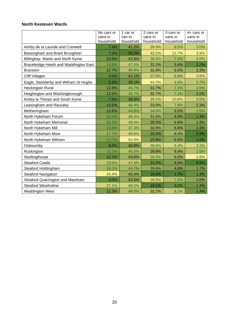#### **North Kesteven Wards**

|                                       | No cars or<br>vans in<br>household | 1 car or<br>van in<br>household | 2 cars or<br>vans in<br>household | 3 cars or<br>vans in<br>household | 4+ cars or<br>vans in<br>household |
|---------------------------------------|------------------------------------|---------------------------------|-----------------------------------|-----------------------------------|------------------------------------|
| Ashby de la Launde and Cranwell       | 7.4%                               | 41.2%                           | 39.9%                             | 8.5%                              | 3.0%                               |
| Bassingham and Brant Broughton        | 7.2%                               | 35.2%                           | 42.1%                             | 11.7%                             | 3.9%                               |
| Billinghay, Martin and North Kyme     | 10.6%                              | 42.9%                           | 36.3%                             | 7.2%                              | 3.0%                               |
| Bracebridge Heath and Waddington East | 14.8%                              | 47.5%                           | 31.1%                             | 5.4%                              | 1.2%                               |
| <b>Branston</b>                       | 12.7%                              | 45.9%                           | 32.8%                             | 6.5%                              | 2.2%                               |
| <b>Cliff Villages</b>                 | 9.0%                               | 41.1%                           | 37.5%                             | 8.8%                              | 3.6%                               |
| Eagle, Swinderby and Witham St Hughs  | 5.2%                               | 39.1%                           | 44.2%                             | 8.8%                              | 2.7%                               |
| <b>Heckington Rural</b>               | 12.8%                              | 45.7%                           | 31.7%                             | 7.1%                              | 2.6%                               |
| Heighington and Washingborough        | 12.5%                              | 45.7%                           | 32.7%                             | 7.1%                              | 2.0%                               |
| Kirkby la Thorpe and South Kyme       | 7.6%                               | 39.8%                           | 39.1%                             | 10.6%                             | 3.0%                               |
| Leasingham and Rauceby                | 10.5%                              | 46.4%                           | 33.0%                             | 7.8%                              | 2.3%                               |
| Metheringham                          | 12.6%                              | 44.8%                           | 34.0%                             | 6.0%                              | 2.5%                               |
| North Hykeham Forum                   | 14.0%                              | 48.3%                           | 31.5%                             | 4.9%                              | 1.3%                               |
| North Hykeham Memorial                | 15.2%                              | 49.0%                           | 28.3%                             | 5.6%                              | 1.9%                               |
| North Hykeham Mill                    | 14.6%                              | 47.3%                           | 30.9%                             | 5.6%                              | 1.6%                               |
| North Hykeham Moor                    | 17.7%                              | 49.6%                           | 25.4%                             | 6.4%                              | 0.9%                               |
| North Hykeham Witham                  | 13.7%                              | 54.3%                           | 25.8%                             | 5.2%                              | 1.0%                               |
| Osbournby                             | 8.0%                               | 40.8%                           | 38.6%                             | 9.4%                              | 3.2%                               |
| Ruskington                            | 15.2%                              | 46.0%                           | 29.9%                             | 6.4%                              | 2.6%                               |
| Skellingthorpe                        | 10.1%                              | 43.6%                           | 36.0%                             | 6.5%                              | 3.8%                               |
| <b>Sleaford Castle</b>                | 23.6%                              | 47.8%                           | 23.2%                             | 4.5%                              | 0.9%                               |
| Sleaford Holdingham                   | 19.2%                              | 44.7%                           | 29.6%                             | 4.8%                              | 1.7%                               |
| <b>Sleaford Navigation</b>            | 34.4%                              | 43.4%                           | 19.3%                             | 1.7%                              | 1.3%                               |
| Sleaford Quarrington and Mareham      | 9.0%                               | 42.5%                           | 39.3%                             | 7.2%                              | 2.0%                               |
| <b>Sleaford Westholme</b>             | 27.1%                              | 49.2%                           | 19.1%                             | 3.2%                              | 1.4%                               |
| <b>Waddington West</b>                | 12.3%                              | 46.0%                           | 32.2%                             | 8.2%                              | 1.4%                               |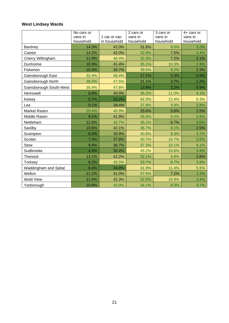## **West Lindsey Wards**

|                         | No cars or<br>vans in<br>household | 1 car or van<br>in household | 2 cars or<br>vans in<br>household | 3 cars or<br>vans in<br>household | 4+ cars or<br>vans in<br>household |
|-------------------------|------------------------------------|------------------------------|-----------------------------------|-----------------------------------|------------------------------------|
| Bardney                 | 14.3%                              | 42.0%                        | 31.6%                             | 9.0%                              | 3.2%                               |
| Caistor                 | 14.2%                              | 42.0%                        | 32.9%                             | 7.5%                              | 3.4%                               |
| Cherry Willingham       | 11.9%                              | 46.4%                        | 32.3%                             | 7.2%                              | 2.1%                               |
| Dunholme                | 10.3%                              | 41.4%                        | 35.1%                             | 10.3%                             | 2.9%                               |
| Fiskerton               | 10.3%                              | 39.7%                        | 39.5%                             | 8.2%                              | 2.3%                               |
| Gainsborough East       | 32.4%                              | 46.4%                        | 17.1%                             | 3.3%                              | 0.9%                               |
| Gainsborough North      | 26.5%                              | 47.5%                        | 21.1%                             | 3.7%                              | 1.2%                               |
| Gainsborough South-West | 35.4%                              | 47.8%                        | 13.8%                             | 2.2%                              | 0.9%                               |
| Hemswell                | 8.8%                               | 40.9%                        | 35.2%                             | 11.0%                             | 4.1%                               |
| Kelsey                  | 5.7%                               | 33.2%                        | 42.3%                             | 12.4%                             | 6.3%                               |
| Lea                     | 9.1%                               | 39.4%                        | 37.8%                             | 9.9%                              | 3.8%                               |
| Market Rasen            | 20.4%                              | 45.9%                        | 25.6%                             | 5.6%                              | 2.5%                               |
| Middle Rasen            | 9.1%                               | 41.9%                        | 35.8%                             | 9.4%                              | 3.8%                               |
| Nettleham               | 12.5%                              | 42.7%                        | 35.1%                             | 6.7%                              | 3.0%                               |
| Saxilby                 | 10.6%                              | 42.1%                        | 36.7%                             | 8.1%                              | 2.5%                               |
| Scampton                | 6.3%                               | 39.9%                        | 40.8%                             | 9.3%                              | 3.7%                               |
| Scotter                 | 7.3%                               | 37.8%                        | 40.7%                             | 10.7%                             | 3.5%                               |
| Stow                    | 9.9%                               | 38.7%                        | 37.3%                             | 10.1%                             | 4.1%                               |
| Sudbrooke               | 4.4%                               | 36.4%                        | 45.2%                             | 10.6%                             | 3.4%                               |
| Thonock                 | 13.1%                              | 42.2%                        | 32.1%                             | 9.8%                              | 2.8%                               |
| Torksey                 | 8.2%                               | 45.5%                        | 33.7%                             | 8.7%                              | 3.9%                               |
| Waddingham and Spital   | 6.4%                               | 34.8%                        | 41.9%                             | 11.4%                             | 5.5%                               |
| Welton                  | 11.1%                              | 41.0%                        | 37.5%                             | 7.2%                              | 3.2%                               |
| <b>Wold View</b>        | 11.0%                              | 42.3%                        | 32.5%                             | 10.9%                             | 3.4%                               |
| Yarborough              | 10.9%                              | 43.0%                        | 34.1%                             | 8.3%                              | 3.7%                               |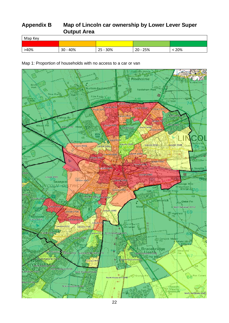## <span id="page-21-0"></span>**Appendix B Map of Lincoln car ownership by Lower Lever Super Output Area**

| Map Key |            |          |            |     |  |  |  |
|---------|------------|----------|------------|-----|--|--|--|
|         |            |          |            |     |  |  |  |
| >40%    | $30 - 40%$ | 25 - 30% | $20 - 25%$ | 20% |  |  |  |

Map 1: Proportion of households with no access to a car or van

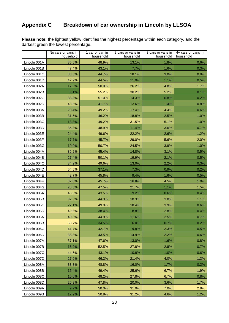# <span id="page-22-0"></span>**Appendix C Breakdown of car ownership in Lincoln by LLSOA**

**Please note:** the lightest yellow identifies the highest percentage within each category, and the darkest green the lowest percentage.

|              | No cars or vans in<br>household | 1 car or van in<br>household | 2 cars or vans in<br>household | 3 cars or vans in<br>household | 4+ cars or vans in<br>household |
|--------------|---------------------------------|------------------------------|--------------------------------|--------------------------------|---------------------------------|
| Lincoln 001A | 35.5%                           | 48.9%                        | 13.1%                          | 1.8%                           | $0.6\%$                         |
| Lincoln 001B | 47.4%                           | 43.1%                        | 7.7%                           | 1.6%                           | 0.3%                            |
| Lincoln 001C | 33.3%                           | 44.7%                        | 18.1%                          | 3.0%                           | 0.9%                            |
| Lincoln 001D | 42.9%                           | 44.5%                        | 11.0%                          | 1.1%                           | 0.5%                            |
| Lincoln 002A | 17.3%                           | 50.0%                        | 26.2%                          | 4.8%                           | 1.7%                            |
| Lincoln 002B | 9.1%                            | 55.2%                        | 30.2%                          | 5.2%                           | 0.1%                            |
| Lincoln 002C | 33.8%                           | 51.0%                        | 14.3%                          | 0.8%                           | 0.2%                            |
| Lincoln 002D | 43.5%                           | 41.7%                        | 12.6%                          | 1.4%                           | 0.8%                            |
| Lincoln 003A | 28.4%                           | 49.2%                        | 17.4%                          | 4.4%                           | 0.6%                            |
| Lincoln 003B | 31.5%                           | 46.2%                        | 18.8%                          | 2.5%                           | 1.0%                            |
| Lincoln 003C | 13.3%                           | 49.2%                        | 31.5%                          | 5.1%                           | 1.0%                            |
| Lincoln 003D | 35.3%                           | 48.9%                        | 11.4%                          | 3.6%                           | 0.7%                            |
| Lincoln 003E | 24.4%                           | 49.6%                        | 22.2%                          | 2.6%                           | 1.2%                            |
| Lincoln 003F | 17.7%                           | 45.7%                        | 29.0%                          | 5.6%                           | 2.0%                            |
| Lincoln 003G | 19.9%                           | 50.7%                        | 24.5%                          | 3.9%                           | 1.0%                            |
| Lincoln 004A | 36.2%                           | 45.4%                        | 14.8%                          | 3.1%                           | 0.5%                            |
| Lincoln 004B | 27.4%                           | 50.1%                        | 19.9%                          | 2.1%                           | 0.5%                            |
| Lincoln 004C | 34.9%                           | 49.6%                        | 13.0%                          | 2.2%                           | 0.3%                            |
| Lincoln 004D | 54.5%                           | 37.1%                        | 7.3%                           | 0.9%                           | 0.2%                            |
| Lincoln 004E | 42.7%                           | 45.8%                        | 9.4%                           | 1.6%                           | 0.5%                            |
| Lincoln 004F | 32.0%                           | 45.7%                        | 16.8%                          | 4.5%                           | 1.0%                            |
| Lincoln 004G | 28.3%                           | 47.5%                        | 21.7%                          | 1.1%                           | 1.5%                            |
| Lincoln 005A | 46.3%                           | 43.5%                        | 9.2%                           | 0.6%                           | 0.4%                            |
| Lincoln 005B | 32.5%                           | 44.3%                        | 18.3%                          | 3.8%                           | 1.1%                            |
| Lincoln 005C | 27.1%                           | 49.9%                        | 18.4%                          | 3.9%                           | 0.6%                            |
| Lincoln 005D | 49.6%                           | 38.4%                        | 8.8%                           | 2.8%                           | 0.4%                            |
| Lincoln 006A | 40.3%                           | 44.9%                        | 11.6%                          | 2.5%                           | 0.7%                            |
| Lincoln 006B | 58.7%                           | 34.5%                        | 6.0%                           | $0.7\%$                        | 0.2%                            |
| Lincoln 006C | 44.7%                           | 42.7%                        | 9.8%                           | 2.3%                           | 0.5%                            |
| Lincoln 006D | 38.8%                           | 43.5%                        | 14.9%                          | 2.2%                           | 0.6%                            |
| Lincoln 007A | 37.1%                           | 47.6%                        | 13.0%                          | 1.6%                           | 0.8%                            |
| Lincoln 007B | 16.2%                           | 52.5%                        | 27.8%                          | 2.8%                           | 0.7%                            |
| Lincoln 007C | 44.5%                           | 43.1%                        | 10.8%                          | 1.0%                           | 0.6%                            |
| Lincoln 007D | 27.0%                           | 46.2%                        | 21.4%                          | 4.0%                           | 1.3%                            |
| Lincoln 008A | 33.3%                           | 48.8%                        | 16.0%                          | 1.7%                           | 0.2%                            |
| Lincoln 008B | 16.4%                           | 49.4%                        | 25.6%                          | 6.7%                           | 1.9%                            |
| Lincoln 008C | 16.6%                           | 48.2%                        | 27.8%                          | 6.7%                           | 0.8%                            |
| Lincoln 008D | 26.8%                           | 47.8%                        | 20.0%                          | 3.6%                           | 1.7%                            |
| Lincoln 009A | 9.2%                            | 50.0%                        | 31.0%                          | 7.0%                           | 2.9%                            |
| Lincoln 009B | 12.2%                           | 50.8%                        | 31.2%                          | 4.6%                           | 1.2%                            |